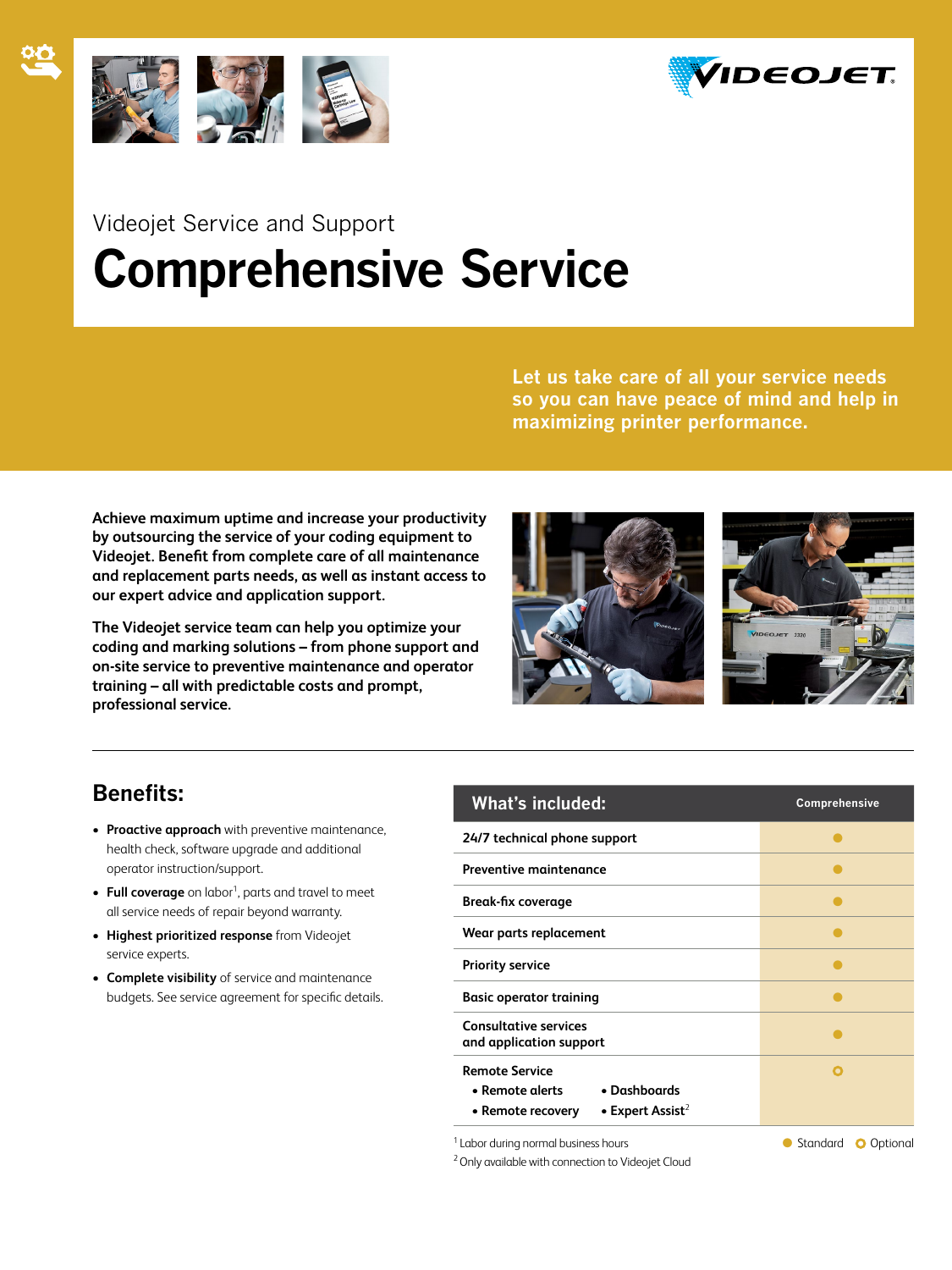



# Videojet Service and Support **Comprehensive Service**

**Let us take care of all your service needs so you can have peace of mind and help in maximizing printer performance.** 

**Achieve maximum uptime and increase your productivity by outsourcing the service of your coding equipment to Videojet. Benefit from complete care of all maintenance and replacement parts needs, as well as instant access to our expert advice and application support.**

**The Videojet service team can help you optimize your coding and marking solutions – from phone support and on-site service to preventive maintenance and operator training – all with predictable costs and prompt, professional service.**



### **Benefits:**

- • **Proactive approach** with preventive maintenance, health check, software upgrade and additional operator instruction/support.
- Full coverage on labor<sup>1</sup>, parts and travel to meet all service needs of repair beyond warranty.
- • **Highest prioritized response** from Videojet service experts.
- • **Complete visibility** of service and maintenance budgets. See service agreement for specific details.

| <b>What's included:</b>                                                                                       | Comprehensive |
|---------------------------------------------------------------------------------------------------------------|---------------|
| 24/7 technical phone support                                                                                  |               |
| <b>Preventive maintenance</b>                                                                                 |               |
| <b>Break-fix coverage</b>                                                                                     |               |
| Wear parts replacement                                                                                        |               |
| <b>Priority service</b>                                                                                       |               |
| <b>Basic operator training</b>                                                                                |               |
| <b>Consultative services</b><br>and application support                                                       |               |
| <b>Remote Service</b><br>• Dashboards<br>• Remote alerts<br>• Expert Assist <sup>2</sup><br>• Remote recovery |               |

<sup>1</sup> Labor during normal business hours **CODE 1** Labor during normal business hours

<sup>2</sup> Only available with connection to Videojet Cloud